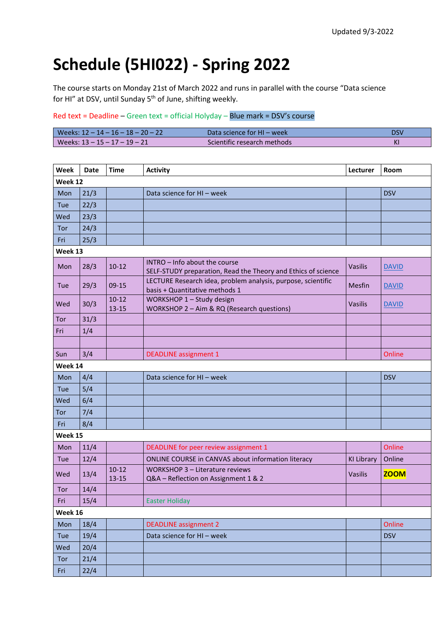## **Schedule (5HI022) - Spring 2022**

The course starts on Monday 21st of March 2022 and runs in parallel with the course "Data science for HI" at DSV, until Sunday 5<sup>th</sup> of June, shifting weekly.

## Red text = Deadline – Green text = official Holyday – Blue mark = DSV's course

| Weeks: 12 − 14 − 16 − 18 − 20 − 22 | Data science for HI – week  | DSV |
|------------------------------------|-----------------------------|-----|
| l Weeks: 13 – 15 – 17 – 19 – 21    | Scientific research methods | ΚI  |

| Week    | <b>Date</b> | <b>Time</b>            | <b>Activity</b>                                                                                | Lecturer          | Room         |  |  |
|---------|-------------|------------------------|------------------------------------------------------------------------------------------------|-------------------|--------------|--|--|
| Week 12 |             |                        |                                                                                                |                   |              |  |  |
| Mon     | 21/3        |                        | Data science for HI - week                                                                     |                   | <b>DSV</b>   |  |  |
| Tue     | 22/3        |                        |                                                                                                |                   |              |  |  |
| Wed     | 23/3        |                        |                                                                                                |                   |              |  |  |
| Tor     | 24/3        |                        |                                                                                                |                   |              |  |  |
| Fri     | 25/3        |                        |                                                                                                |                   |              |  |  |
| Week 13 |             |                        |                                                                                                |                   |              |  |  |
| Mon     | 28/3        | $10-12$                | INTRO - Info about the course<br>SELF-STUDY preparation, Read the Theory and Ethics of science | <b>Vasilis</b>    | <b>DAVID</b> |  |  |
| Tue     | 29/3        | $09-15$                | LECTURE Research idea, problem analysis, purpose, scientific<br>basis + Quantitative methods 1 | Mesfin            | <b>DAVID</b> |  |  |
| Wed     | 30/3        | $10-12$<br>$13 - 15$   | WORKSHOP 1 - Study design<br>WORKSHOP 2 - Aim & RQ (Research questions)                        | <b>Vasilis</b>    | <b>DAVID</b> |  |  |
| Tor     | 31/3        |                        |                                                                                                |                   |              |  |  |
| Fri     | 1/4         |                        |                                                                                                |                   |              |  |  |
|         |             |                        |                                                                                                |                   |              |  |  |
| Sun     | 3/4         |                        | <b>DEADLINE</b> assignment 1                                                                   |                   | Online       |  |  |
| Week 14 |             |                        |                                                                                                |                   |              |  |  |
| Mon     | 4/4         |                        | Data science for HI - week                                                                     |                   | <b>DSV</b>   |  |  |
| Tue     | 5/4         |                        |                                                                                                |                   |              |  |  |
| Wed     | 6/4         |                        |                                                                                                |                   |              |  |  |
| Tor     | 7/4         |                        |                                                                                                |                   |              |  |  |
| Fri     | 8/4         |                        |                                                                                                |                   |              |  |  |
| Week 15 |             |                        |                                                                                                |                   |              |  |  |
| Mon     | 11/4        |                        | DEADLINE for peer review assignment 1                                                          |                   | Online       |  |  |
| Tue     | 12/4        |                        | ONLINE COURSE in CANVAS about information literacy                                             | <b>KI Library</b> | Online       |  |  |
| Wed     | 13/4        | $10 - 12$<br>$13 - 15$ | WORKSHOP 3 - Literature reviews<br>Q&A - Reflection on Assignment 1 & 2                        | <b>Vasilis</b>    | <b>ZOOM</b>  |  |  |
| Tor     | 14/4        |                        |                                                                                                |                   |              |  |  |
| Fri     | 15/4        |                        | <b>Easter Holiday</b>                                                                          |                   |              |  |  |
| Week 16 |             |                        |                                                                                                |                   |              |  |  |
| Mon     | 18/4        |                        | <b>DEADLINE</b> assignment 2                                                                   |                   | Online       |  |  |
| Tue     | 19/4        |                        | Data science for HI - week                                                                     |                   | <b>DSV</b>   |  |  |
| Wed     | 20/4        |                        |                                                                                                |                   |              |  |  |
| Tor     | 21/4        |                        |                                                                                                |                   |              |  |  |
| Fri     | 22/4        |                        |                                                                                                |                   |              |  |  |